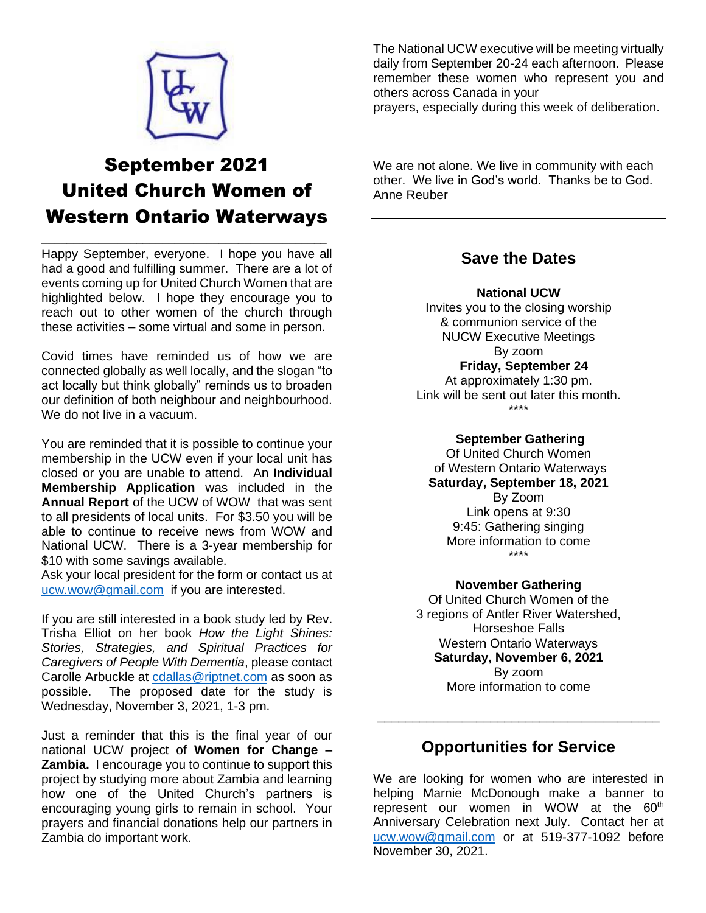

# September 2021 United Church Women of Western Ontario Waterways

\_\_\_\_\_\_\_\_\_\_\_\_\_\_\_\_\_\_\_\_\_\_\_\_\_\_\_\_\_\_\_\_\_\_\_\_\_\_\_\_\_\_\_\_\_

Happy September, everyone. I hope you have all had a good and fulfilling summer. There are a lot of events coming up for United Church Women that are highlighted below. I hope they encourage you to reach out to other women of the church through these activities – some virtual and some in person.

Covid times have reminded us of how we are connected globally as well locally, and the slogan "to act locally but think globally" reminds us to broaden our definition of both neighbour and neighbourhood. We do not live in a vacuum.

You are reminded that it is possible to continue your membership in the UCW even if your local unit has closed or you are unable to attend. An **Individual Membership Application** was included in the **Annual Report** of the UCW of WOW that was sent to all presidents of local units. For \$3.50 you will be able to continue to receive news from WOW and National UCW. There is a 3-year membership for \$10 with some savings available.

Ask your local president for the form or contact us at [ucw.wow@gmail.com](mailto:ucw.wow@gmail.com) if you are interested.

If you are still interested in a book study led by Rev. Trisha Elliot on her book *How the Light Shines: Stories, Strategies, and Spiritual Practices for Caregivers of People With Dementia*, please contact Carolle Arbuckle at [cdallas@riptnet.com](mailto:cdallas@riptnet.com) as soon as possible. The proposed date for the study is Wednesday, November 3, 2021, 1-3 pm.

Just a reminder that this is the final year of our national UCW project of **Women for Change – Zambia.** I encourage you to continue to support this project by studying more about Zambia and learning how one of the United Church's partners is encouraging young girls to remain in school. Your prayers and financial donations help our partners in Zambia do important work.

The National UCW executive will be meeting virtually daily from September 20-24 each afternoon. Please remember these women who represent you and others across Canada in your

prayers, especially during this week of deliberation.

We are not alone. We live in community with each other. We live in God's world. Thanks be to God. Anne Reuber

### **Save the Dates**

#### **National UCW**

Invites you to the closing worship & communion service of the NUCW Executive Meetings By zoom **Friday, September 24** At approximately 1:30 pm. Link will be sent out later this month.

\*\*\*\*

#### **September Gathering**

Of United Church Women of Western Ontario Waterways **Saturday, September 18, 2021** By Zoom Link opens at 9:30 9:45: Gathering singing More information to come \*\*\*\*

#### **November Gathering**

Of United Church Women of the 3 regions of Antler River Watershed, Horseshoe Falls Western Ontario Waterways **Saturday, November 6, 2021** By zoom More information to come

### **Opportunities for Service**

\_\_\_\_\_\_\_\_\_\_\_\_\_\_\_\_\_\_\_\_\_\_\_\_\_\_\_\_\_\_\_\_\_\_\_\_\_\_\_\_

We are looking for women who are interested in helping Marnie McDonough make a banner to represent our women in WOW at the 60<sup>th</sup> Anniversary Celebration next July. Contact her at [ucw.wow@gmail.com](mailto:ucw.wow@gmail.com) or at 519-377-1092 before November 30, 2021.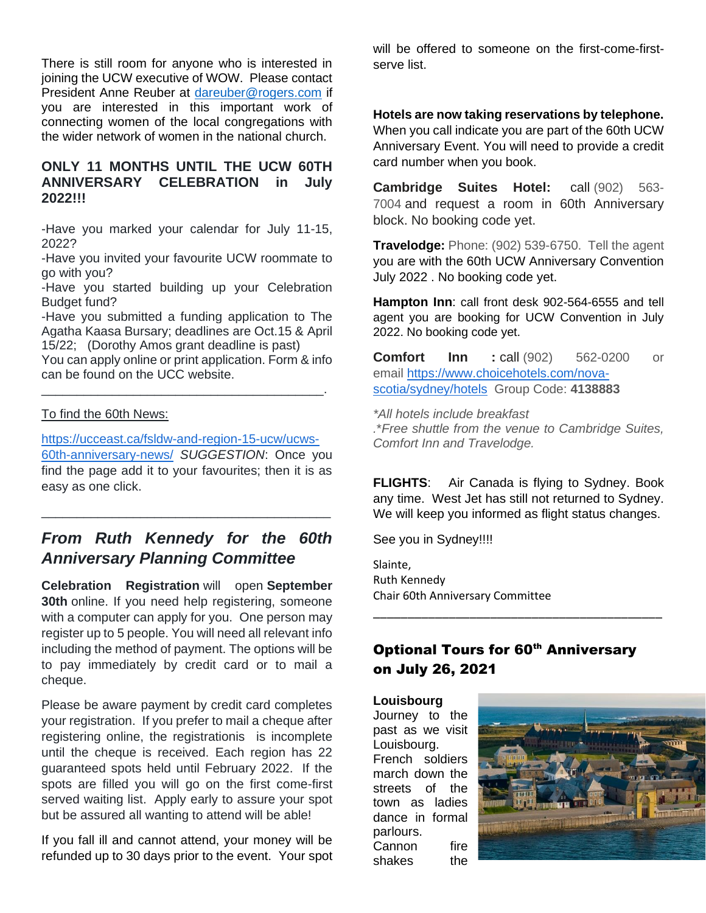There is still room for anyone who is interested in joining the UCW executive of WOW. Please contact President Anne Reuber at [dareuber@rogers.com](mailto:dareuber@rogers.com) if you are interested in this important work of connecting women of the local congregations with the wider network of women in the national church.

### **ONLY 11 MONTHS UNTIL THE UCW 60TH ANNIVERSARY CELEBRATION in July 2022!!!**

-Have you marked your calendar for July 11-15, 2022?

-Have you invited your favourite UCW roommate to go with you?

-Have you started building up your Celebration Budget fund?

-Have you submitted a funding application to The Agatha Kaasa Bursary; deadlines are Oct.15 & April 15/22; (Dorothy Amos grant deadline is past)

You can apply online or print application. Form & info can be found on the UCC website.

\_\_\_\_\_\_\_\_\_\_\_\_\_\_\_\_\_\_\_\_\_\_\_\_\_\_\_\_\_\_\_\_\_\_\_\_\_\_\_\_.

#### To find the 60th News:

[https://ucceast.ca/fsldw-and-region-15-ucw/ucws-](https://ucceast.ca/fsldw-and-region-15-ucw/ucws-60th-anniversary-news/)[60th-anniversary-news/](https://ucceast.ca/fsldw-and-region-15-ucw/ucws-60th-anniversary-news/) *SUGGESTION*: Once you find the page add it to your favourites; then it is as easy as one click.

## *From Ruth Kennedy for the 60th Anniversary Planning Committee*

\_\_\_\_\_\_\_\_\_\_\_\_\_\_\_\_\_\_\_\_\_\_\_\_\_\_\_\_\_\_\_\_\_\_\_\_\_\_\_\_\_

**Celebration Registration** will open **September 30th** online. If you need help registering, someone with a computer can apply for you. One person may register up to 5 people. You will need all relevant info including the method of payment. The options will be to pay immediately by credit card or to mail a cheque.

Please be aware payment by credit card completes your registration. If you prefer to mail a cheque after registering online, the registrationis is incomplete until the cheque is received. Each region has 22 guaranteed spots held until February 2022. If the spots are filled you will go on the first come-first served waiting list. Apply early to assure your spot but be assured all wanting to attend will be able!

If you fall ill and cannot attend, your money will be refunded up to 30 days prior to the event. Your spot will be offered to someone on the first-come-firstserve list.

#### **Hotels are now taking reservations by telephone.**

When you call indicate you are part of the 60th UCW Anniversary Event. You will need to provide a credit card number when you book.

**Cambridge Suites Hotel:** call (902) 563- 7004 and request a room in 60th Anniversary block. No booking code yet.

**Travelodge:** Phone: (902) 539-6750. Tell the agent you are with the 60th UCW Anniversary Convention July 2022 . No booking code yet.

**Hampton Inn**: call front desk 902-564-6555 and tell agent you are booking for UCW Convention in July 2022. No booking code yet.

**Comfort Inn :** call (902) 562-0200 or email [https://www.choicehotels.com/nova](https://www.choicehotels.com/nova-scotia/sydney/hotels)[scotia/sydney/hotels](https://www.choicehotels.com/nova-scotia/sydney/hotels) Group Code: **4138883**

*\*All hotels include breakfast .*\**Free shuttle from the venue to Cambridge Suites, Comfort Inn and Travelodge.*

**FLIGHTS**: Air Canada is flying to Sydney. Book any time. West Jet has still not returned to Sydney. We will keep you informed as flight status changes.

See you in Sydney!!!!

Slainte, Ruth Kennedy Chair 60th Anniversary Committee

### **Optional Tours for 60th Anniversary** on July 26, 2021

\_\_\_\_\_\_\_\_\_\_\_\_\_\_\_\_\_\_\_\_\_\_\_\_\_\_\_\_\_\_\_\_\_\_\_\_\_\_\_\_\_\_

**Louisbourg** Journey to the past as we visit Louisbourg. French soldiers march down the streets of the town as ladies dance in formal parlours. Cannon fire shakes the

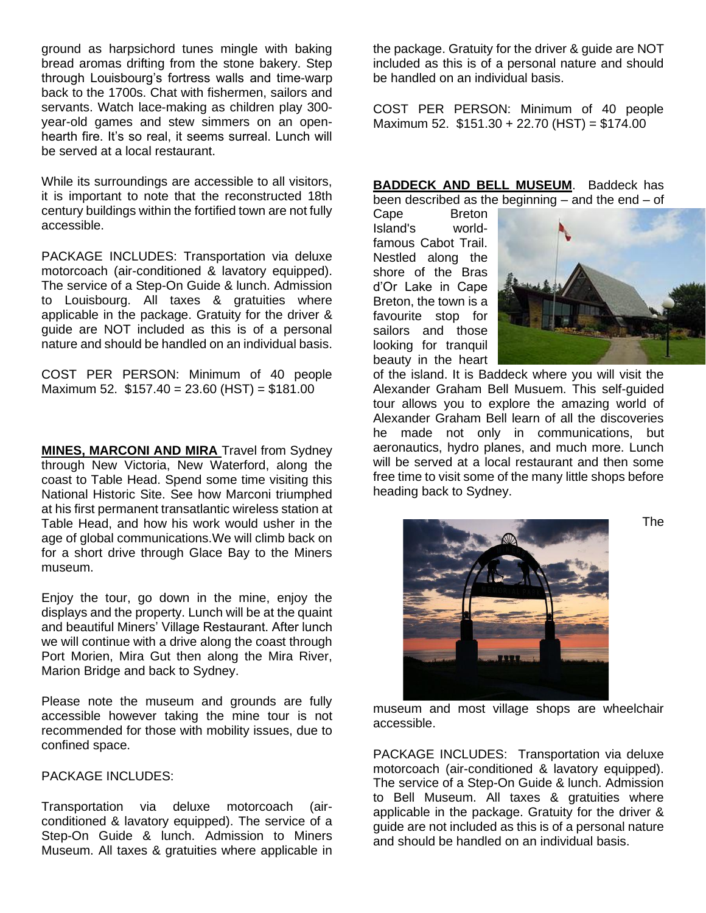ground as harpsichord tunes mingle with baking bread aromas drifting from the stone bakery. Step through Louisbourg's fortress walls and time-warp back to the 1700s. Chat with fishermen, sailors and servants. Watch lace-making as children play 300 year-old games and stew simmers on an openhearth fire. It's so real, it seems surreal. Lunch will be served at a local restaurant.

While its surroundings are accessible to all visitors, it is important to note that the reconstructed 18th century buildings within the fortified town are not fully accessible.

PACKAGE INCLUDES: Transportation via deluxe motorcoach (air-conditioned & lavatory equipped). The service of a Step-On Guide & lunch. Admission to Louisbourg. All taxes & gratuities where applicable in the package. Gratuity for the driver & guide are NOT included as this is of a personal nature and should be handled on an individual basis.

COST PER PERSON: Minimum of 40 people Maximum 52. \$157.40 = 23.60 (HST) = \$181.00

**MINES, MARCONI AND MIRA** Travel from Sydney through New Victoria, New Waterford, along the coast to Table Head. Spend some time visiting this National Historic Site. See how Marconi triumphed at his first permanent transatlantic wireless station at Table Head, and how his work would usher in the age of global communications.We will climb back on for a short drive through Glace Bay to the Miners museum.

Enjoy the tour, go down in the mine, enjoy the displays and the property. Lunch will be at the quaint and beautiful Miners' Village Restaurant. After lunch we will continue with a drive along the coast through Port Morien, Mira Gut then along the Mira River, Marion Bridge and back to Sydney.

Please note the museum and grounds are fully accessible however taking the mine tour is not recommended for those with mobility issues, due to confined space.

PACKAGE INCLUDES:

Transportation via deluxe motorcoach (airconditioned & lavatory equipped). The service of a Step-On Guide & lunch. Admission to Miners Museum. All taxes & gratuities where applicable in the package. Gratuity for the driver & guide are NOT included as this is of a personal nature and should be handled on an individual basis.

COST PER PERSON: Minimum of 40 people Maximum 52. \$151.30 + 22.70 (HST) = \$174.00

**BADDECK AND BELL MUSEUM**. Baddeck has been described as the beginning – and the end – of

Cape Breton Island's worldfamous Cabot Trail. Nestled along the shore of the Bras d'Or Lake in Cape Breton, the town is a favourite stop for sailors and those looking for tranquil beauty in the heart



of the island. It is Baddeck where you will visit the Alexander Graham Bell Musuem. This self-guided tour allows you to explore the amazing world of Alexander Graham Bell learn of all the discoveries he made not only in communications, but aeronautics, hydro planes, and much more. Lunch will be served at a local restaurant and then some free time to visit some of the many little shops before heading back to Sydney.



museum and most village shops are wheelchair accessible.

PACKAGE INCLUDES: Transportation via deluxe motorcoach (air-conditioned & lavatory equipped). The service of a Step-On Guide & lunch. Admission to Bell Museum. All taxes & gratuities where applicable in the package. Gratuity for the driver & guide are not included as this is of a personal nature and should be handled on an individual basis.

The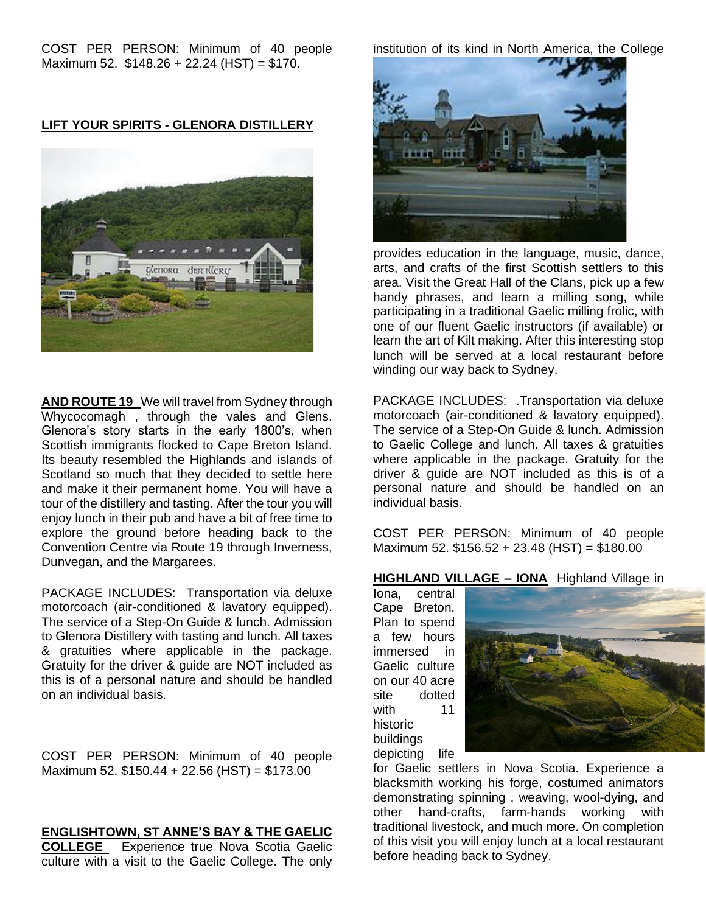COST PER PERSON: Minimum of 40 people Maximum 52. \$148.26 + 22.24 (HST) = \$170.

**LIFT YOUR SPIRITS - GLENORA DISTILLERY** 



**AND ROUTE 19** We will travel from Sydney through Whycocomagh , through the vales and Glens. Glenora's story starts in the early 1800's, when Scottish immigrants flocked to Cape Breton Island. Its beauty resembled the Highlands and islands of Scotland so much that they decided to settle here and make it their permanent home. You will have a tour of the distillery and tasting. After the tour you will enjoy lunch in their pub and have a bit of free time to explore the ground before heading back to the Convention Centre via Route 19 through Inverness, Dunvegan, and the Margarees.

PACKAGE INCLUDES: Transportation via deluxe motorcoach (air-conditioned & lavatory equipped). The service of a Step-On Guide & lunch. Admission to Glenora Distillery with tasting and lunch. All taxes & gratuities where applicable in the package. Gratuity for the driver & guide are NOT included as this is of a personal nature and should be handled on an individual basis.

COST PER PERSON: Minimum of 40 people Maximum 52. \$150.44 + 22.56 (HST) = \$173.00

#### **ENGLISHTOWN, ST ANNE'S BAY & THE GAELIC**

**COLLEGE** Experience true Nova Scotia Gaelic culture with a visit to the Gaelic College. The only institution of its kind in North America, the College



provides education in the language, music, dance, arts, and crafts of the first Scottish settlers to this area. Visit the Great Hall of the Clans, pick up a few handy phrases, and learn a milling song, while participating in a traditional Gaelic milling frolic, with one of our fluent Gaelic instructors (if available) or learn the art of Kilt making. After this interesting stop lunch will be served at a local restaurant before winding our way back to Sydney.

PACKAGE INCLUDES: .Transportation via deluxe motorcoach (air-conditioned & lavatory equipped). The service of a Step-On Guide & lunch. Admission to Gaelic College and lunch. All taxes & gratuities where applicable in the package. Gratuity for the driver & guide are NOT included as this is of a personal nature and should be handled on an individual basis.

COST PER PERSON: Minimum of 40 people Maximum 52. \$156.52 + 23.48 (HST) = \$180.00

#### **HIGHLAND VILLAGE – IONA** Highland Village in

Iona, central Cape Breton. Plan to spend a few hours immersed in Gaelic culture on our 40 acre site dotted with 11 historic buildings depicting life



for Gaelic settlers in Nova Scotia. Experience a blacksmith working his forge, costumed animators demonstrating spinning , weaving, wool-dying, and other hand-crafts, farm-hands working with traditional livestock, and much more. On completion of this visit you will enjoy lunch at a local restaurant before heading back to Sydney.